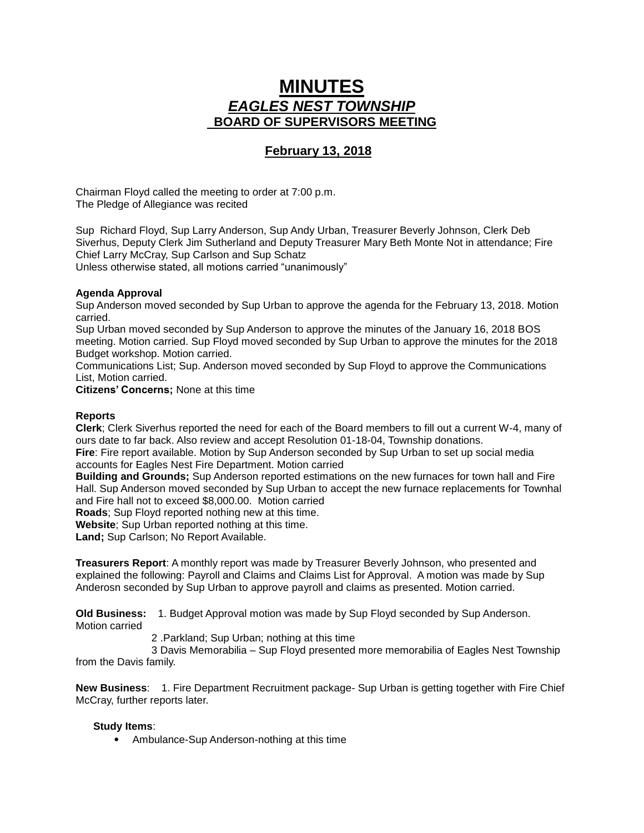# **MINUTES** *EAGLES NEST TOWNSHIP*  **BOARD OF SUPERVISORS MEETING**

## **February 13, 2018**

Chairman Floyd called the meeting to order at 7:00 p.m. The Pledge of Allegiance was recited

Sup Richard Floyd, Sup Larry Anderson, Sup Andy Urban, Treasurer Beverly Johnson, Clerk Deb Siverhus, Deputy Clerk Jim Sutherland and Deputy Treasurer Mary Beth Monte Not in attendance; Fire Chief Larry McCray, Sup Carlson and Sup Schatz Unless otherwise stated, all motions carried "unanimously"

### **Agenda Approval**

Sup Anderson moved seconded by Sup Urban to approve the agenda for the February 13, 2018. Motion carried.

Sup Urban moved seconded by Sup Anderson to approve the minutes of the January 16, 2018 BOS meeting. Motion carried. Sup Floyd moved seconded by Sup Urban to approve the minutes for the 2018 Budget workshop. Motion carried.

Communications List; Sup. Anderson moved seconded by Sup Floyd to approve the Communications List, Motion carried.

**Citizens' Concerns;** None at this time

#### **Reports**

**Clerk**; Clerk Siverhus reported the need for each of the Board members to fill out a current W-4, many of ours date to far back. Also review and accept Resolution 01-18-04, Township donations.

**Fire**: Fire report available. Motion by Sup Anderson seconded by Sup Urban to set up social media accounts for Eagles Nest Fire Department. Motion carried

**Building and Grounds;** Sup Anderson reported estimations on the new furnaces for town hall and Fire Hall. Sup Anderson moved seconded by Sup Urban to accept the new furnace replacements for Townhal and Fire hall not to exceed \$8,000.00. Motion carried

**Roads**; Sup Floyd reported nothing new at this time.

**Website**; Sup Urban reported nothing at this time.

**Land;** Sup Carlson; No Report Available.

**Treasurers Report**: A monthly report was made by Treasurer Beverly Johnson, who presented and explained the following: Payroll and Claims and Claims List for Approval. A motion was made by Sup Anderosn seconded by Sup Urban to approve payroll and claims as presented. Motion carried.

**Old Business:** 1. Budget Approval motion was made by Sup Floyd seconded by Sup Anderson. Motion carried

2 .Parkland; Sup Urban; nothing at this time

 3 Davis Memorabilia – Sup Floyd presented more memorabilia of Eagles Nest Township from the Davis family.

**New Business**: 1. Fire Department Recruitment package- Sup Urban is getting together with Fire Chief McCray, further reports later.

#### **Study Items**:

• Ambulance-Sup Anderson-nothing at this time